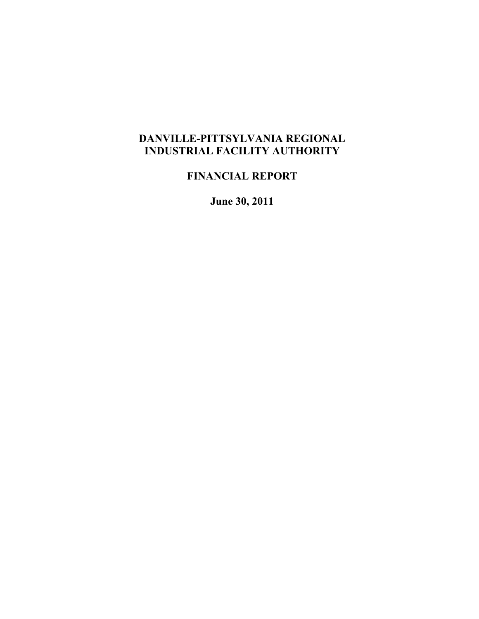# **DANVILLE-PITTSYLVANIA REGIONAL INDUSTRIAL FACILITY AUTHORITY**

**FINANCIAL REPORT** 

**June 30, 2011**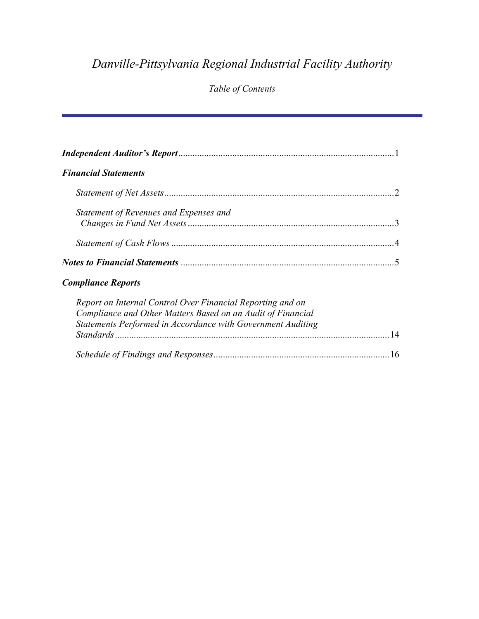# *Danville-Pittsylvania Regional Industrial Facility Authority*

# *Table of Contents*

| <b>Financial Statements</b>                                                                                                                                                              |    |
|------------------------------------------------------------------------------------------------------------------------------------------------------------------------------------------|----|
|                                                                                                                                                                                          |    |
| Statement of Revenues and Expenses and                                                                                                                                                   |    |
|                                                                                                                                                                                          |    |
|                                                                                                                                                                                          |    |
| <b>Compliance Reports</b>                                                                                                                                                                |    |
| Report on Internal Control Over Financial Reporting and on<br>Compliance and Other Matters Based on an Audit of Financial<br>Statements Performed in Accordance with Government Auditing | 14 |
|                                                                                                                                                                                          | 16 |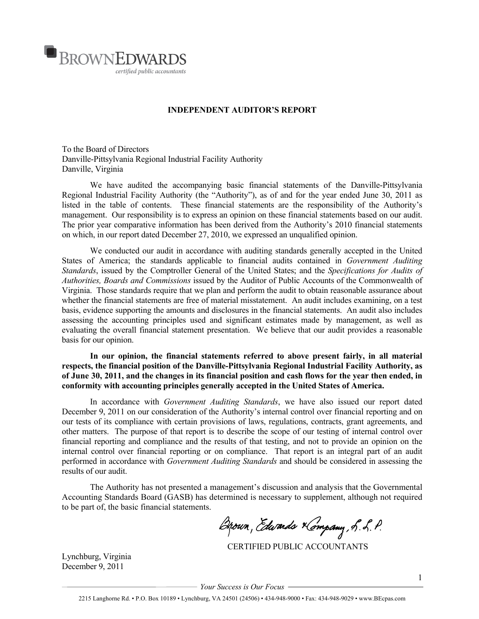

#### **INDEPENDENT AUDITOR'S REPORT**

To the Board of Directors Danville-Pittsylvania Regional Industrial Facility Authority Danville, Virginia

We have audited the accompanying basic financial statements of the Danville-Pittsylvania Regional Industrial Facility Authority (the "Authority"), as of and for the year ended June 30, 2011 as listed in the table of contents. These financial statements are the responsibility of the Authority's management. Our responsibility is to express an opinion on these financial statements based on our audit. The prior year comparative information has been derived from the Authority's 2010 financial statements on which, in our report dated December 27, 2010, we expressed an unqualified opinion.

We conducted our audit in accordance with auditing standards generally accepted in the United States of America; the standards applicable to financial audits contained in *Government Auditing Standards*, issued by the Comptroller General of the United States; and the *Specifications for Audits of Authorities, Boards and Commissions* issued by the Auditor of Public Accounts of the Commonwealth of Virginia. Those standards require that we plan and perform the audit to obtain reasonable assurance about whether the financial statements are free of material misstatement. An audit includes examining, on a test basis, evidence supporting the amounts and disclosures in the financial statements. An audit also includes assessing the accounting principles used and significant estimates made by management, as well as evaluating the overall financial statement presentation. We believe that our audit provides a reasonable basis for our opinion.

**In our opinion, the financial statements referred to above present fairly, in all material respects, the financial position of the Danville-Pittsylvania Regional Industrial Facility Authority, as of June 30, 2011, and the changes in its financial position and cash flows for the year then ended, in conformity with accounting principles generally accepted in the United States of America.** 

In accordance with *Government Auditing Standards*, we have also issued our report dated December 9, 2011 on our consideration of the Authority's internal control over financial reporting and on our tests of its compliance with certain provisions of laws, regulations, contracts, grant agreements, and other matters. The purpose of that report is to describe the scope of our testing of internal control over financial reporting and compliance and the results of that testing, and not to provide an opinion on the internal control over financial reporting or on compliance. That report is an integral part of an audit performed in accordance with *Government Auditing Standards* and should be considered in assessing the results of our audit.

The Authority has not presented a management's discussion and analysis that the Governmental Accounting Standards Board (GASB) has determined is necessary to supplement, although not required to be part of, the basic financial statements.

Brown, Edwards Kompany, S. L. P.

CERTIFIED PUBLIC ACCOUNTANTS

Lynchburg, Virginia December 9, 2011

*Your Success is Our Focus* 

1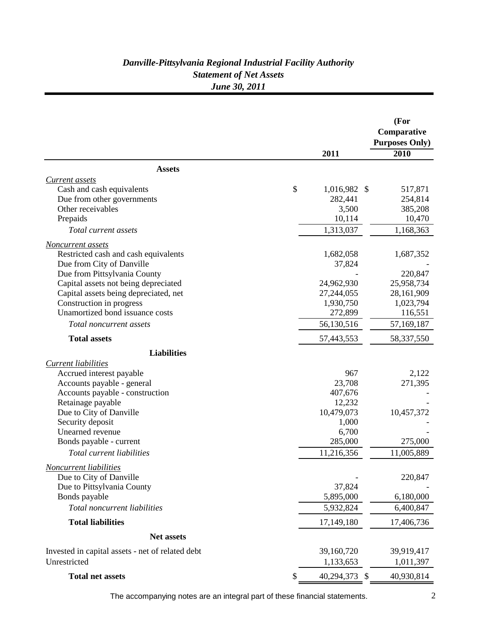# *Danville-Pittsylvania Regional Industrial Facility Authority Statement of Net Assets June 30, 2011*

|                                                                  |                               | (For<br>Comparative<br><b>Purposes Only)</b> |
|------------------------------------------------------------------|-------------------------------|----------------------------------------------|
|                                                                  | 2011                          | 2010                                         |
| <b>Assets</b>                                                    |                               |                                              |
| <b>Current assets</b>                                            |                               |                                              |
| Cash and cash equivalents                                        | \$<br>1,016,982 \$<br>282,441 | 517,871                                      |
| Due from other governments<br>Other receivables                  | 3,500                         | 254,814                                      |
|                                                                  |                               | 385,208<br>10,470                            |
| Prepaids                                                         | 10,114                        |                                              |
| Total current assets                                             | 1,313,037                     | 1,168,363                                    |
| Noncurrent assets                                                |                               |                                              |
| Restricted cash and cash equivalents                             | 1,682,058                     | 1,687,352                                    |
| Due from City of Danville                                        | 37,824                        |                                              |
| Due from Pittsylvania County                                     |                               | 220,847                                      |
| Capital assets not being depreciated                             | 24,962,930                    | 25,958,734                                   |
| Capital assets being depreciated, net                            | 27,244,055                    | 28,161,909                                   |
| Construction in progress                                         | 1,930,750                     | 1,023,794                                    |
| Unamortized bond issuance costs                                  | 272,899                       | 116,551                                      |
| Total noncurrent assets                                          | 56,130,516                    | 57,169,187                                   |
| <b>Total assets</b>                                              | 57,443,553                    | 58,337,550                                   |
| <b>Liabilities</b>                                               |                               |                                              |
| <b>Current liabilities</b>                                       |                               |                                              |
| Accrued interest payable                                         | 967                           | 2,122                                        |
| Accounts payable - general                                       | 23,708                        | 271,395                                      |
| Accounts payable - construction                                  | 407,676                       |                                              |
| Retainage payable                                                | 12,232                        |                                              |
| Due to City of Danville                                          | 10,479,073                    | 10,457,372                                   |
| Security deposit                                                 | 1,000                         |                                              |
| Unearned revenue                                                 | 6,700                         |                                              |
| Bonds payable - current                                          | 285,000                       | 275,000                                      |
| Total current liabilities                                        | 11,216,356                    | 11,005,889                                   |
| Noncurrent liabilities                                           |                               |                                              |
| Due to City of Danville                                          |                               | 220,847                                      |
| Due to Pittsylvania County                                       | 37,824                        |                                              |
| Bonds payable                                                    | 5,895,000                     | 6,180,000                                    |
| Total noncurrent liabilities                                     | 5,932,824                     | 6,400,847                                    |
| <b>Total liabilities</b>                                         | 17,149,180                    | 17,406,736                                   |
| Net assets                                                       |                               |                                              |
|                                                                  |                               | 39,919,417                                   |
| Invested in capital assets - net of related debt<br>Unrestricted | 39,160,720                    |                                              |
|                                                                  | 1,133,653                     | 1,011,397                                    |
| <b>Total net assets</b>                                          | \$<br>40,294,373 \$           | 40,930,814                                   |

The accompanying notes are an integral part of these financial statements. 2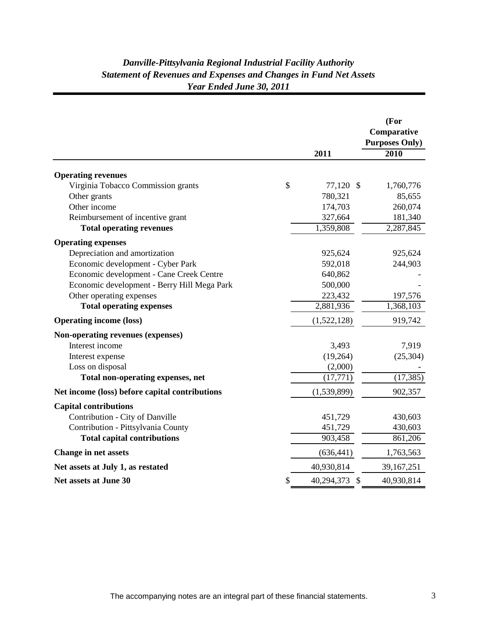| Danville-Pittsylvania Regional Industrial Facility Authority             |
|--------------------------------------------------------------------------|
| <b>Statement of Revenues and Expenses and Changes in Fund Net Assets</b> |
| Year Ended June 30, 2011                                                 |

|                                                     |               | (For<br>Comparative<br><b>Purposes Only)</b> |
|-----------------------------------------------------|---------------|----------------------------------------------|
|                                                     | 2011          | 2010                                         |
| <b>Operating revenues</b>                           |               |                                              |
| $\mathcal{S}$<br>Virginia Tobacco Commission grants | 77,120 \$     | 1,760,776                                    |
| Other grants                                        | 780,321       | 85,655                                       |
| Other income                                        | 174,703       | 260,074                                      |
| Reimbursement of incentive grant                    | 327,664       | 181,340                                      |
| <b>Total operating revenues</b>                     | 1,359,808     | 2,287,845                                    |
| <b>Operating expenses</b>                           |               |                                              |
| Depreciation and amortization                       | 925,624       | 925,624                                      |
| Economic development - Cyber Park                   | 592,018       | 244,903                                      |
| Economic development - Cane Creek Centre            | 640,862       |                                              |
| Economic development - Berry Hill Mega Park         | 500,000       |                                              |
| Other operating expenses                            | 223,432       | 197,576                                      |
| <b>Total operating expenses</b>                     | 2,881,936     | 1,368,103                                    |
| <b>Operating income (loss)</b>                      | (1,522,128)   | 919,742                                      |
| Non-operating revenues (expenses)                   |               |                                              |
| Interest income                                     | 3,493         | 7,919                                        |
| Interest expense                                    | (19,264)      | (25, 304)                                    |
| Loss on disposal                                    | (2,000)       |                                              |
| Total non-operating expenses, net                   | (17,771)      | (17, 385)                                    |
| Net income (loss) before capital contributions      | (1,539,899)   | 902,357                                      |
| <b>Capital contributions</b>                        |               |                                              |
| Contribution - City of Danville                     | 451,729       | 430,603                                      |
| Contribution - Pittsylvania County                  | 451,729       | 430,603                                      |
| <b>Total capital contributions</b>                  | 903,458       | 861,206                                      |
| <b>Change in net assets</b>                         | (636, 441)    | 1,763,563                                    |
| Net assets at July 1, as restated                   | 40,930,814    | 39, 167, 251                                 |
| <b>Net assets at June 30</b><br>\$                  | 40,294,373 \$ | 40,930,814                                   |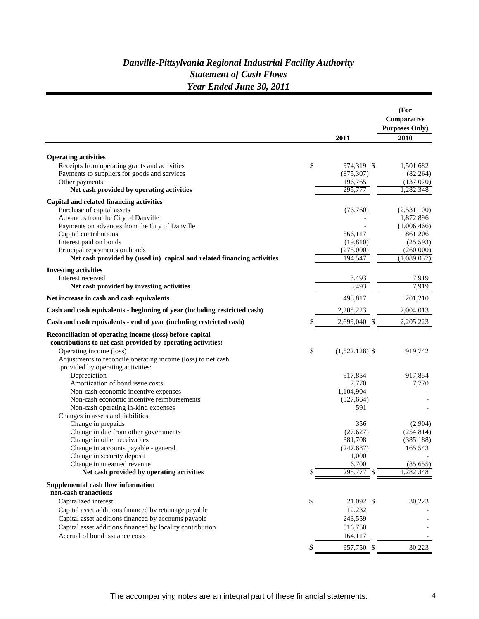# *Danville-Pittsylvania Regional Industrial Facility Authority Statement of Cash Flows Year Ended June 30, 2011*

|                                                                           |                        | (For<br>Comparative<br><b>Purposes Only)</b> |
|---------------------------------------------------------------------------|------------------------|----------------------------------------------|
|                                                                           | 2011                   | 2010                                         |
| <b>Operating activities</b>                                               |                        |                                              |
| Receipts from operating grants and activities                             | \$<br>974,319 \$       | 1,501,682                                    |
| Payments to suppliers for goods and services                              | (875, 307)             | (82, 264)                                    |
| Other payments                                                            | 196,765                | (137,070)                                    |
| Net cash provided by operating activities                                 | 295,777                | 1,282,348                                    |
| Capital and related financing activities                                  |                        |                                              |
| Purchase of capital assets                                                | (76,760)               | (2,531,100)                                  |
| Advances from the City of Danville                                        |                        | 1,872,896                                    |
| Payments on advances from the City of Danville                            |                        | (1,006,466)                                  |
| Capital contributions<br>Interest paid on bonds                           | 566,117<br>(19, 810)   | 861,206<br>(25,593)                          |
| Principal repayments on bonds                                             | (275,000)              | (260,000)                                    |
| Net cash provided by (used in) capital and related financing activities   | 194,547                | (1,089,057)                                  |
| <b>Investing activities</b>                                               |                        |                                              |
| Interest received                                                         | 3,493                  | 7,919                                        |
| Net cash provided by investing activities                                 | 3,493                  | 7,919                                        |
| Net increase in cash and cash equivalents                                 | 493,817                | 201,210                                      |
| Cash and cash equivalents - beginning of year (including restricted cash) | 2,205,223              | 2,004,013                                    |
| Cash and cash equivalents - end of year (including restricted cash)       | \$<br>2,699,040 \$     | 2,205,223                                    |
| Reconciliation of operating income (loss) before capital                  |                        |                                              |
| contributions to net cash provided by operating activities:               |                        |                                              |
| Operating income (loss)                                                   | \$<br>$(1,522,128)$ \$ | 919,742                                      |
| Adjustments to reconcile operating income (loss) to net cash              |                        |                                              |
| provided by operating activities:<br>Depreciation                         | 917,854                | 917,854                                      |
| Amortization of bond issue costs                                          | 7,770                  | 7,770                                        |
| Non-cash economic incentive expenses                                      | 1,104,904              |                                              |
| Non-cash economic incentive reimbursements                                | (327, 664)             |                                              |
| Non-cash operating in-kind expenses                                       | 591                    |                                              |
| Changes in assets and liabilities:                                        |                        |                                              |
| Change in prepaids                                                        | 356                    | (2,904)                                      |
| Change in due from other governments                                      | (27, 627)              | (254, 814)                                   |
| Change in other receivables<br>Change in accounts payable - general       | 381,708<br>(247, 687)  | (385, 188)<br>165,543                        |
| Change in security deposit                                                | 1,000                  |                                              |
| Change in unearned revenue                                                | 6,700                  | (85, 655)                                    |
| Net cash provided by operating activities                                 | \$<br>295,777          | 1,282,348                                    |
| Supplemental cash flow information                                        |                        |                                              |
| non-cash tranactions                                                      |                        |                                              |
| Capitalized interest                                                      | \$<br>21,092 \$        | 30,223                                       |
| Capital asset additions financed by retainage payable                     | 12,232                 |                                              |
| Capital asset additions financed by accounts payable                      | 243,559                |                                              |
| Capital asset additions financed by locality contribution                 | 516,750                |                                              |
| Accrual of bond issuance costs                                            | 164,117                |                                              |
|                                                                           | \$<br>957,750 \$       | 30,223                                       |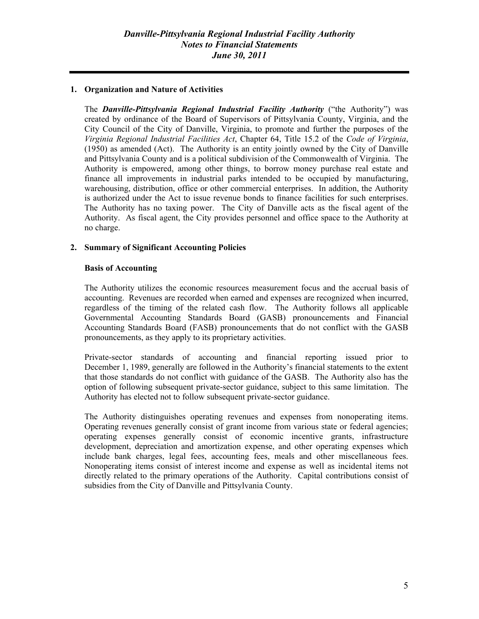# **1. Organization and Nature of Activities**

The *Danville-Pittsylvania Regional Industrial Facility Authority* ("the Authority") was created by ordinance of the Board of Supervisors of Pittsylvania County, Virginia, and the City Council of the City of Danville, Virginia, to promote and further the purposes of the *Virginia Regional Industrial Facilities Act*, Chapter 64, Title 15.2 of the *Code of Virginia*, (1950) as amended (Act). The Authority is an entity jointly owned by the City of Danville and Pittsylvania County and is a political subdivision of the Commonwealth of Virginia. The Authority is empowered, among other things, to borrow money purchase real estate and finance all improvements in industrial parks intended to be occupied by manufacturing, warehousing, distribution, office or other commercial enterprises. In addition, the Authority is authorized under the Act to issue revenue bonds to finance facilities for such enterprises. The Authority has no taxing power. The City of Danville acts as the fiscal agent of the Authority. As fiscal agent, the City provides personnel and office space to the Authority at no charge.

# **2. Summary of Significant Accounting Policies**

# **Basis of Accounting**

The Authority utilizes the economic resources measurement focus and the accrual basis of accounting. Revenues are recorded when earned and expenses are recognized when incurred, regardless of the timing of the related cash flow. The Authority follows all applicable Governmental Accounting Standards Board (GASB) pronouncements and Financial Accounting Standards Board (FASB) pronouncements that do not conflict with the GASB pronouncements, as they apply to its proprietary activities.

Private-sector standards of accounting and financial reporting issued prior to December 1, 1989, generally are followed in the Authority's financial statements to the extent that those standards do not conflict with guidance of the GASB. The Authority also has the option of following subsequent private-sector guidance, subject to this same limitation. The Authority has elected not to follow subsequent private-sector guidance.

The Authority distinguishes operating revenues and expenses from nonoperating items. Operating revenues generally consist of grant income from various state or federal agencies; operating expenses generally consist of economic incentive grants, infrastructure development, depreciation and amortization expense, and other operating expenses which include bank charges, legal fees, accounting fees, meals and other miscellaneous fees. Nonoperating items consist of interest income and expense as well as incidental items not directly related to the primary operations of the Authority. Capital contributions consist of subsidies from the City of Danville and Pittsylvania County.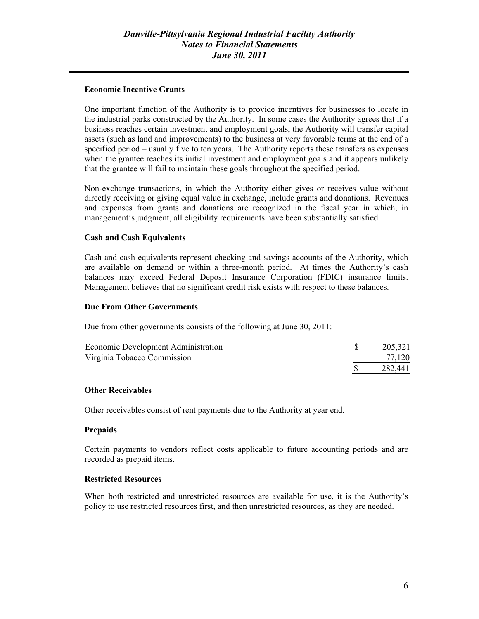#### **Economic Incentive Grants**

One important function of the Authority is to provide incentives for businesses to locate in the industrial parks constructed by the Authority. In some cases the Authority agrees that if a business reaches certain investment and employment goals, the Authority will transfer capital assets (such as land and improvements) to the business at very favorable terms at the end of a specified period – usually five to ten years. The Authority reports these transfers as expenses when the grantee reaches its initial investment and employment goals and it appears unlikely that the grantee will fail to maintain these goals throughout the specified period.

Non-exchange transactions, in which the Authority either gives or receives value without directly receiving or giving equal value in exchange, include grants and donations. Revenues and expenses from grants and donations are recognized in the fiscal year in which, in management's judgment, all eligibility requirements have been substantially satisfied.

# **Cash and Cash Equivalents**

Cash and cash equivalents represent checking and savings accounts of the Authority, which are available on demand or within a three-month period. At times the Authority's cash balances may exceed Federal Deposit Insurance Corporation (FDIC) insurance limits. Management believes that no significant credit risk exists with respect to these balances.

#### **Due From Other Governments**

Due from other governments consists of the following at June 30, 2011:

| Economic Development Administration | 205,321 |
|-------------------------------------|---------|
| Virginia Tobacco Commission         | 77,120  |
|                                     | 282,441 |

#### **Other Receivables**

Other receivables consist of rent payments due to the Authority at year end.

# **Prepaids**

Certain payments to vendors reflect costs applicable to future accounting periods and are recorded as prepaid items.

#### **Restricted Resources**

When both restricted and unrestricted resources are available for use, it is the Authority's policy to use restricted resources first, and then unrestricted resources, as they are needed.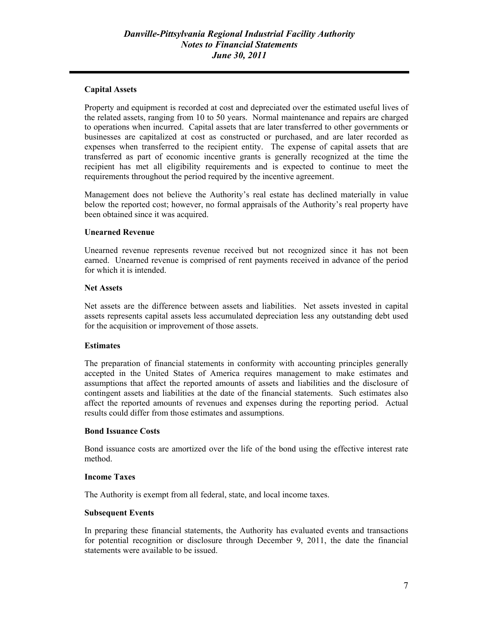# **Capital Assets**

Property and equipment is recorded at cost and depreciated over the estimated useful lives of the related assets, ranging from 10 to 50 years. Normal maintenance and repairs are charged to operations when incurred. Capital assets that are later transferred to other governments or businesses are capitalized at cost as constructed or purchased, and are later recorded as expenses when transferred to the recipient entity. The expense of capital assets that are transferred as part of economic incentive grants is generally recognized at the time the recipient has met all eligibility requirements and is expected to continue to meet the requirements throughout the period required by the incentive agreement.

Management does not believe the Authority's real estate has declined materially in value below the reported cost; however, no formal appraisals of the Authority's real property have been obtained since it was acquired.

# **Unearned Revenue**

Unearned revenue represents revenue received but not recognized since it has not been earned. Unearned revenue is comprised of rent payments received in advance of the period for which it is intended.

# **Net Assets**

Net assets are the difference between assets and liabilities. Net assets invested in capital assets represents capital assets less accumulated depreciation less any outstanding debt used for the acquisition or improvement of those assets.

# **Estimates**

The preparation of financial statements in conformity with accounting principles generally accepted in the United States of America requires management to make estimates and assumptions that affect the reported amounts of assets and liabilities and the disclosure of contingent assets and liabilities at the date of the financial statements. Such estimates also affect the reported amounts of revenues and expenses during the reporting period. Actual results could differ from those estimates and assumptions.

# **Bond Issuance Costs**

Bond issuance costs are amortized over the life of the bond using the effective interest rate method.

# **Income Taxes**

The Authority is exempt from all federal, state, and local income taxes.

# **Subsequent Events**

In preparing these financial statements, the Authority has evaluated events and transactions for potential recognition or disclosure through December 9, 2011, the date the financial statements were available to be issued.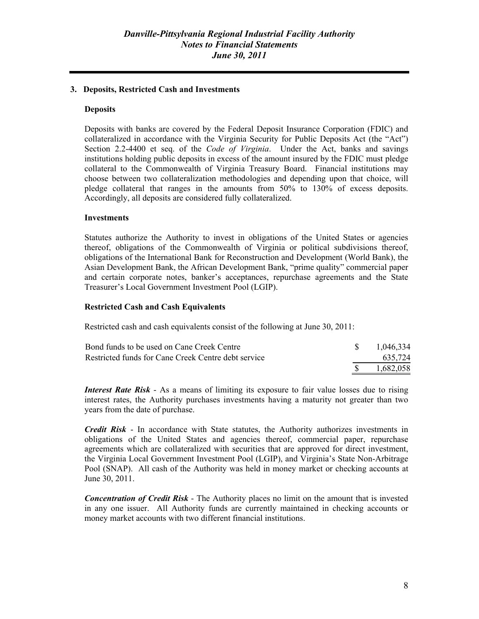#### **3. Deposits, Restricted Cash and Investments**

#### **Deposits**

Deposits with banks are covered by the Federal Deposit Insurance Corporation (FDIC) and collateralized in accordance with the Virginia Security for Public Deposits Act (the "Act") Section 2.2-4400 et seq. of the *Code of Virginia*. Under the Act, banks and savings institutions holding public deposits in excess of the amount insured by the FDIC must pledge collateral to the Commonwealth of Virginia Treasury Board. Financial institutions may choose between two collateralization methodologies and depending upon that choice, will pledge collateral that ranges in the amounts from 50% to 130% of excess deposits. Accordingly, all deposits are considered fully collateralized.

#### **Investments**

Statutes authorize the Authority to invest in obligations of the United States or agencies thereof, obligations of the Commonwealth of Virginia or political subdivisions thereof, obligations of the International Bank for Reconstruction and Development (World Bank), the Asian Development Bank, the African Development Bank, "prime quality" commercial paper and certain corporate notes, banker's acceptances, repurchase agreements and the State Treasurer's Local Government Investment Pool (LGIP).

#### **Restricted Cash and Cash Equivalents**

Restricted cash and cash equivalents consist of the following at June 30, 2011:

| Bond funds to be used on Cane Creek Centre          | 1,046,334 |
|-----------------------------------------------------|-----------|
| Restricted funds for Cane Creek Centre debt service | 635.724   |
|                                                     | 1,682,058 |

*Interest Rate Risk* - As a means of limiting its exposure to fair value losses due to rising interest rates, the Authority purchases investments having a maturity not greater than two years from the date of purchase.

*Credit Risk* - In accordance with State statutes, the Authority authorizes investments in obligations of the United States and agencies thereof, commercial paper, repurchase agreements which are collateralized with securities that are approved for direct investment, the Virginia Local Government Investment Pool (LGIP), and Virginia's State Non-Arbitrage Pool (SNAP). All cash of the Authority was held in money market or checking accounts at June 30, 2011.

*Concentration of Credit Risk* - The Authority places no limit on the amount that is invested in any one issuer. All Authority funds are currently maintained in checking accounts or money market accounts with two different financial institutions.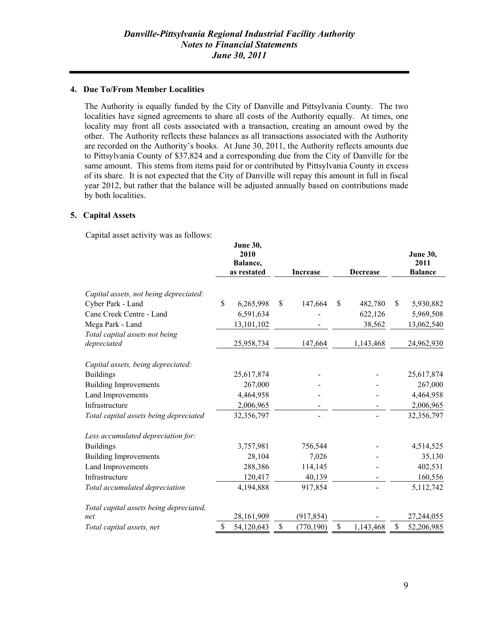#### **4. Due To/From Member Localities**

The Authority is equally funded by the City of Danville and Pittsylvania County. The two localities have signed agreements to share all costs of the Authority equally. At times, one locality may front all costs associated with a transaction, creating an amount owed by the other. The Authority reflects these balances as all transactions associated with the Authority are recorded on the Authority's books. At June 30, 2011, the Authority reflects amounts due to Pittsylvania County of \$37,824 and a corresponding due from the City of Danville for the same amount. This stems from items paid for or contributed by Pittsylvania County in excess of its share. It is not expected that the City of Danville will repay this amount in full in fiscal year 2012, but rather that the balance will be adjusted annually based on contributions made by both localities.

# **5. Capital Assets**

Capital asset activity was as follows:

|                                         | June 30,<br>2010<br>Balance,<br>as restated | <b>Increase</b>  |      | <b>Decrease</b> |             | <b>June 30,</b><br>2011<br><b>Balance</b> |
|-----------------------------------------|---------------------------------------------|------------------|------|-----------------|-------------|-------------------------------------------|
|                                         |                                             |                  |      |                 |             |                                           |
| Capital assets, not being depreciated:  |                                             |                  |      |                 |             |                                           |
| Cyber Park - Land                       | \$<br>6,265,998                             | \$<br>147,664    | \$   | 482,780         | \$          | 5,930,882                                 |
| Cane Creek Centre - Land                | 6,591,634                                   |                  |      | 622,126         |             | 5,969,508                                 |
| Mega Park - Land                        | 13,101,102                                  |                  |      | 38,562          |             | 13,062,540                                |
| Total capital assets not being          |                                             |                  |      |                 |             |                                           |
| depreciated                             | 25,958,734                                  | 147,664          |      | 1,143,468       |             | 24,962,930                                |
| Capital assets, being depreciated:      |                                             |                  |      |                 |             |                                           |
| <b>Buildings</b>                        | 25,617,874                                  |                  |      |                 |             | 25,617,874                                |
| <b>Building Improvements</b>            | 267,000                                     |                  |      |                 |             | 267,000                                   |
| Land Improvements                       | 4,464,958                                   |                  |      |                 |             | 4,464,958                                 |
| Infrastructure                          | 2,006,965                                   |                  |      |                 |             | 2,006,965                                 |
| Total capital assets being depreciated  | 32,356,797                                  |                  |      |                 |             | 32,356,797                                |
| Less accumulated depreciation for:      |                                             |                  |      |                 |             |                                           |
| <b>Buildings</b>                        | 3,757,981                                   | 756,544          |      |                 |             | 4,514,525                                 |
| <b>Building Improvements</b>            | 28,104                                      | 7,026            |      |                 |             | 35,130                                    |
| Land Improvements                       | 288,386                                     | 114,145          |      |                 |             | 402,531                                   |
| Infrastructure                          | 120,417                                     | 40,139           |      |                 |             | 160,556                                   |
| Total accumulated depreciation          | 4,194,888                                   | 917,854          |      |                 |             | 5,112,742                                 |
| Total capital assets being depreciated, |                                             |                  |      |                 |             |                                           |
| net                                     | 28,161,909                                  | (917, 854)       |      |                 |             | 27,244,055                                |
| Total capital assets, net               | \$<br>54,120,643                            | \$<br>(770, 190) | $\$$ | 1,143,468       | $\mathbb S$ | 52,206,985                                |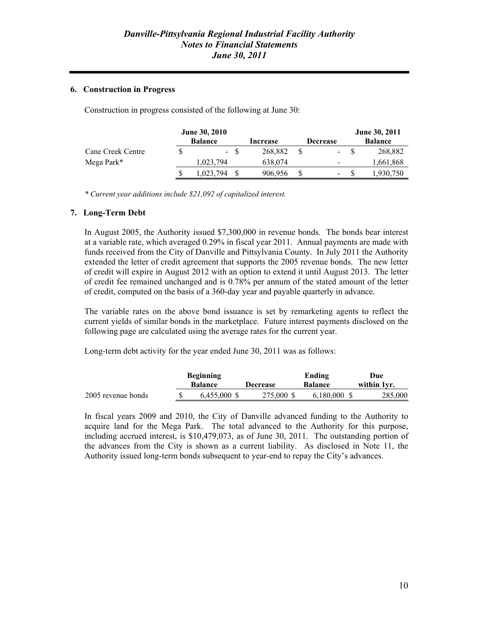#### **6. Construction in Progress**

Construction in progress consisted of the following at June 30:

|                   | <b>June 30, 2010</b> |     |          |                          | June 30, 2011  |
|-------------------|----------------------|-----|----------|--------------------------|----------------|
|                   | <b>Balance</b>       |     | Increase | <b>Decrease</b>          | <b>Balance</b> |
| Cane Creek Centre |                      | - S | 268.882  | $\sim$                   | 268.882        |
| Mega Park*        | 1.023.794            |     | 638.074  | $\overline{\phantom{a}}$ | 1,661,868      |
|                   | ,023,794             |     | 906,956  | $\blacksquare$           | 1.930.750      |

*\* Current year additions include \$21,092 of capitalized interest.* 

#### **7. Long-Term Debt**

In August 2005, the Authority issued \$7,300,000 in revenue bonds. The bonds bear interest at a variable rate, which averaged 0.29% in fiscal year 2011. Annual payments are made with funds received from the City of Danville and Pittsylvania County. In July 2011 the Authority extended the letter of credit agreement that supports the 2005 revenue bonds. The new letter of credit will expire in August 2012 with an option to extend it until August 2013. The letter of credit fee remained unchanged and is 0.78% per annum of the stated amount of the letter of credit, computed on the basis of a 360-day year and payable quarterly in advance.

The variable rates on the above bond issuance is set by remarketing agents to reflect the current yields of similar bonds in the marketplace. Future interest payments disclosed on the following page are calculated using the average rates for the current year.

Long-term debt activity for the year ended June 30, 2011 was as follows:

|                    | <b>Beginning</b><br><b>Balance</b> | <b>Decrease</b> | Ending<br><b>Balance</b> | Due<br>within 1yr. |
|--------------------|------------------------------------|-----------------|--------------------------|--------------------|
| 2005 revenue bonds | 6.455,000 \$                       | 275,000 \$      | 6.180.000                | 285,000            |

In fiscal years 2009 and 2010, the City of Danville advanced funding to the Authority to acquire land for the Mega Park. The total advanced to the Authority for this purpose, including accrued interest, is \$10,479,073, as of June 30, 2011. The outstanding portion of the advances from the City is shown as a current liability. As disclosed in Note 11, the Authority issued long-term bonds subsequent to year-end to repay the City's advances.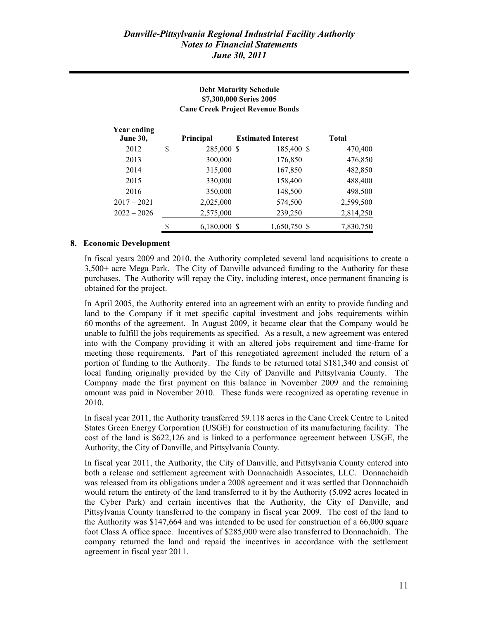| Year ending     |                    |                           |              |
|-----------------|--------------------|---------------------------|--------------|
| <b>June 30,</b> | Principal          | <b>Estimated Interest</b> | <b>Total</b> |
| 2012            | \$<br>285,000 \$   | 185,400 \$                | 470,400      |
| 2013            | 300,000            | 176,850                   | 476,850      |
| 2014            | 315,000            | 167,850                   | 482,850      |
| 2015            | 330,000            | 158,400                   | 488,400      |
| 2016            | 350,000            | 148,500                   | 498,500      |
| $2017 - 2021$   | 2,025,000          | 574,500                   | 2,599,500    |
| $2022 - 2026$   | 2,575,000          | 239,250                   | 2,814,250    |
|                 | \$<br>6,180,000 \$ | 1,650,750 \$              | 7,830,750    |

# **Debt Maturity Schedule \$7,300,000 Series 2005 Cane Creek Project Revenue Bonds**

#### **8. Economic Development**

In fiscal years 2009 and 2010, the Authority completed several land acquisitions to create a 3,500+ acre Mega Park. The City of Danville advanced funding to the Authority for these purchases. The Authority will repay the City, including interest, once permanent financing is obtained for the project.

In April 2005, the Authority entered into an agreement with an entity to provide funding and land to the Company if it met specific capital investment and jobs requirements within 60 months of the agreement. In August 2009, it became clear that the Company would be unable to fulfill the jobs requirements as specified. As a result, a new agreement was entered into with the Company providing it with an altered jobs requirement and time-frame for meeting those requirements. Part of this renegotiated agreement included the return of a portion of funding to the Authority. The funds to be returned total \$181,340 and consist of local funding originally provided by the City of Danville and Pittsylvania County. The Company made the first payment on this balance in November 2009 and the remaining amount was paid in November 2010. These funds were recognized as operating revenue in 2010.

In fiscal year 2011, the Authority transferred 59.118 acres in the Cane Creek Centre to United States Green Energy Corporation (USGE) for construction of its manufacturing facility. The cost of the land is \$622,126 and is linked to a performance agreement between USGE, the Authority, the City of Danville, and Pittsylvania County.

In fiscal year 2011, the Authority, the City of Danville, and Pittsylvania County entered into both a release and settlement agreement with Donnachaidh Associates, LLC. Donnachaidh was released from its obligations under a 2008 agreement and it was settled that Donnachaidh would return the entirety of the land transferred to it by the Authority (5.092 acres located in the Cyber Park) and certain incentives that the Authority, the City of Danville, and Pittsylvania County transferred to the company in fiscal year 2009. The cost of the land to the Authority was \$147,664 and was intended to be used for construction of a 66,000 square foot Class A office space. Incentives of \$285,000 were also transferred to Donnachaidh. The company returned the land and repaid the incentives in accordance with the settlement agreement in fiscal year 2011.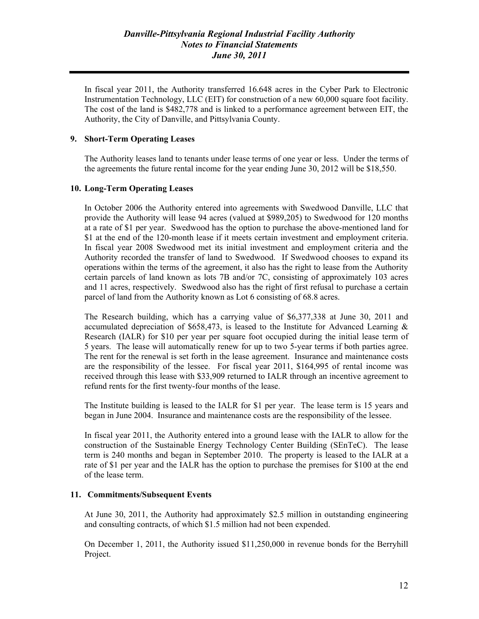In fiscal year 2011, the Authority transferred 16.648 acres in the Cyber Park to Electronic Instrumentation Technology, LLC (EIT) for construction of a new 60,000 square foot facility. The cost of the land is \$482,778 and is linked to a performance agreement between EIT, the Authority, the City of Danville, and Pittsylvania County.

# **9. Short-Term Operating Leases**

The Authority leases land to tenants under lease terms of one year or less. Under the terms of the agreements the future rental income for the year ending June 30, 2012 will be \$18,550.

# **10. Long-Term Operating Leases**

In October 2006 the Authority entered into agreements with Swedwood Danville, LLC that provide the Authority will lease 94 acres (valued at \$989,205) to Swedwood for 120 months at a rate of \$1 per year. Swedwood has the option to purchase the above-mentioned land for \$1 at the end of the 120-month lease if it meets certain investment and employment criteria. In fiscal year 2008 Swedwood met its initial investment and employment criteria and the Authority recorded the transfer of land to Swedwood. If Swedwood chooses to expand its operations within the terms of the agreement, it also has the right to lease from the Authority certain parcels of land known as lots 7B and/or 7C, consisting of approximately 103 acres and 11 acres, respectively. Swedwood also has the right of first refusal to purchase a certain parcel of land from the Authority known as Lot 6 consisting of 68.8 acres.

The Research building, which has a carrying value of \$6,377,338 at June 30, 2011 and accumulated depreciation of \$658,473, is leased to the Institute for Advanced Learning  $\&$ Research (IALR) for \$10 per year per square foot occupied during the initial lease term of 5 years. The lease will automatically renew for up to two 5-year terms if both parties agree. The rent for the renewal is set forth in the lease agreement. Insurance and maintenance costs are the responsibility of the lessee. For fiscal year 2011, \$164,995 of rental income was received through this lease with \$33,909 returned to IALR through an incentive agreement to refund rents for the first twenty-four months of the lease.

The Institute building is leased to the IALR for \$1 per year. The lease term is 15 years and began in June 2004. Insurance and maintenance costs are the responsibility of the lessee.

In fiscal year 2011, the Authority entered into a ground lease with the IALR to allow for the construction of the Sustainable Energy Technology Center Building (SEnTeC). The lease term is 240 months and began in September 2010. The property is leased to the IALR at a rate of \$1 per year and the IALR has the option to purchase the premises for \$100 at the end of the lease term.

# **11. Commitments/Subsequent Events**

At June 30, 2011, the Authority had approximately \$2.5 million in outstanding engineering and consulting contracts, of which \$1.5 million had not been expended.

On December 1, 2011, the Authority issued \$11,250,000 in revenue bonds for the Berryhill Project.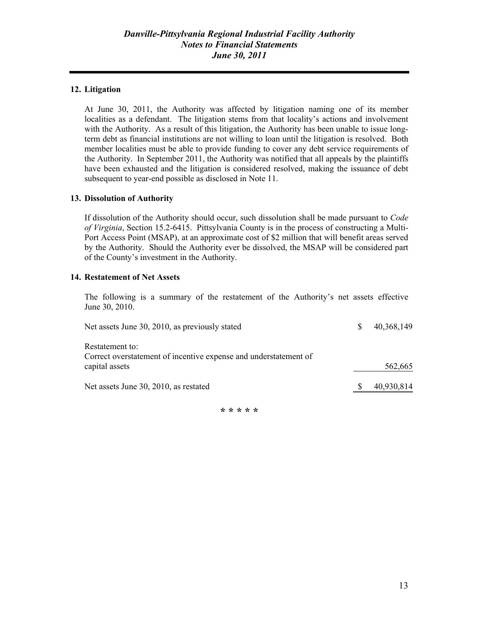# *Danville-Pittsylvania Regional Industrial Facility Authority Notes to Financial Statements June 30, 2011*

# **12. Litigation**

At June 30, 2011, the Authority was affected by litigation naming one of its member localities as a defendant. The litigation stems from that locality's actions and involvement with the Authority. As a result of this litigation, the Authority has been unable to issue longterm debt as financial institutions are not willing to loan until the litigation is resolved. Both member localities must be able to provide funding to cover any debt service requirements of the Authority. In September 2011, the Authority was notified that all appeals by the plaintiffs have been exhausted and the litigation is considered resolved, making the issuance of debt subsequent to year-end possible as disclosed in Note 11.

# **13. Dissolution of Authority**

 If dissolution of the Authority should occur, such dissolution shall be made pursuant to *Code of Virginia*, Section 15.2-6415. Pittsylvania County is in the process of constructing a Multi-Port Access Point (MSAP), at an approximate cost of \$2 million that will benefit areas served by the Authority. Should the Authority ever be dissolved, the MSAP will be considered part of the County's investment in the Authority.

# **14. Restatement of Net Assets**

The following is a summary of the restatement of the Authority's net assets effective June 30, 2010.

| Net assets June 30, 2010, as previously stated                                      | S | 40,368,149 |
|-------------------------------------------------------------------------------------|---|------------|
| Restatement to:<br>Correct overstatement of incentive expense and understatement of |   |            |
| capital assets                                                                      |   | 562,665    |
| Net assets June 30, 2010, as restated                                               |   | 40,930,814 |

**\* \* \* \* \***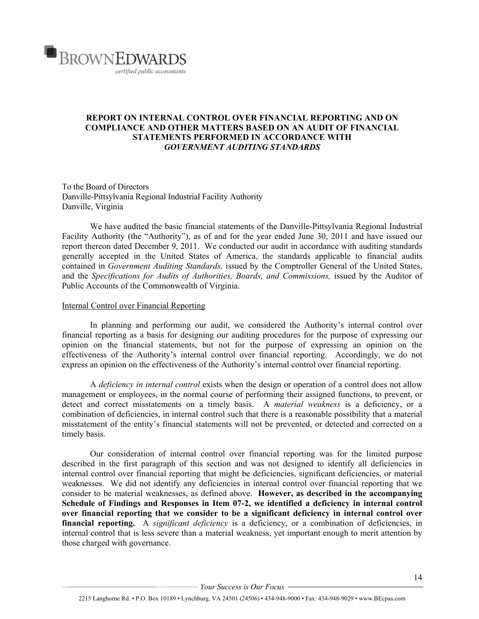

# **REPORT ON INTERNAL CONTROL OVER FINANCIAL REPORTING AND ON COMPLIANCE AND OTHER MATTERS BASED ON AN AUDIT OF FINANCIAL STATEMENTS PERFORMED IN ACCORDANCE WITH**  *GOVERNMENT AUDITING STANDARDS*

To the Board of Directors Danville-Pittsylvania Regional Industrial Facility Authority Danville, Virginia

 We have audited the basic financial statements of the Danville-Pittsylvania Regional Industrial Facility Authority (the "Authority"), as of and for the year ended June 30, 2011 and have issued our report thereon dated December 9, 2011. We conducted our audit in accordance with auditing standards generally accepted in the United States of America, the standards applicable to financial audits contained in *Government Auditing Standards,* issued by the Comptroller General of the United States, and the *Specifications for Audits of Authorities, Boards, and Commissions,* issued by the Auditor of Public Accounts of the Commonwealth of Virginia.

#### Internal Control over Financial Reporting

 In planning and performing our audit, we considered the Authority's internal control over financial reporting as a basis for designing our auditing procedures for the purpose of expressing our opinion on the financial statements, but not for the purpose of expressing an opinion on the effectiveness of the Authority's internal control over financial reporting. Accordingly, we do not express an opinion on the effectiveness of the Authority's internal control over financial reporting.

A *deficiency in internal control* exists when the design or operation of a control does not allow management or employees, in the normal course of performing their assigned functions, to prevent, or detect and correct misstatements on a timely basis. A *material weakness* is a deficiency, or a combination of deficiencies, in internal control such that there is a reasonable possibility that a material misstatement of the entity's financial statements will not be prevented, or detected and corrected on a timely basis.

Our consideration of internal control over financial reporting was for the limited purpose described in the first paragraph of this section and was not designed to identify all deficiencies in internal control over financial reporting that might be deficiencies, significant deficiencies, or material weaknesses. We did not identify any deficiencies in internal control over financial reporting that we consider to be material weaknesses, as defined above. **However, as described in the accompanying Schedule of Findings and Responses in Item 07-2, we identified a deficiency in internal control over financial reporting that we consider to be a significant deficiency in internal control over financial reporting.** A *significant deficiency* is a deficiency, or a combination of deficiencies, in internal control that is less severe than a material weakness, yet important enough to merit attention by those charged with governance.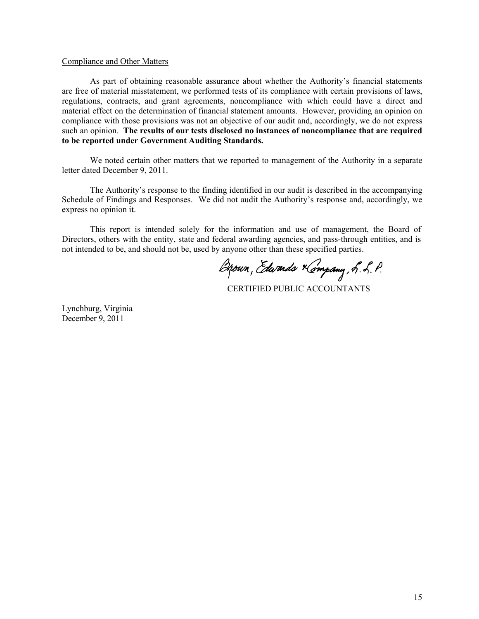#### Compliance and Other Matters

 As part of obtaining reasonable assurance about whether the Authority's financial statements are free of material misstatement, we performed tests of its compliance with certain provisions of laws, regulations, contracts, and grant agreements, noncompliance with which could have a direct and material effect on the determination of financial statement amounts. However, providing an opinion on compliance with those provisions was not an objective of our audit and, accordingly, we do not express such an opinion. **The results of our tests disclosed no instances of noncompliance that are required to be reported under Government Auditing Standards.** 

 We noted certain other matters that we reported to management of the Authority in a separate letter dated December 9, 2011.

The Authority's response to the finding identified in our audit is described in the accompanying Schedule of Findings and Responses. We did not audit the Authority's response and, accordingly, we express no opinion it.

 This report is intended solely for the information and use of management, the Board of Directors, others with the entity, state and federal awarding agencies, and pass-through entities, and is not intended to be, and should not be, used by anyone other than these specified parties.

Brown, Edwards Kompany, S. L. P.

CERTIFIED PUBLIC ACCOUNTANTS

Lynchburg, Virginia December 9, 2011